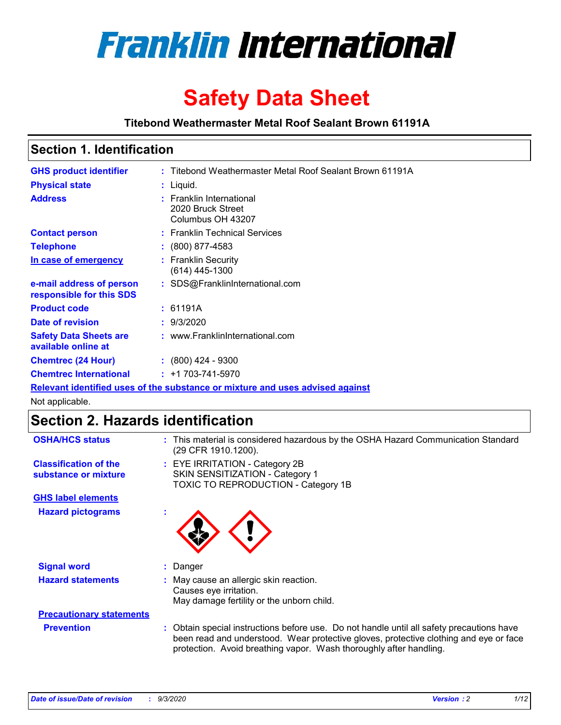

# **Safety Data Sheet**

**Titebond Weathermaster Metal Roof Sealant Brown 61191A**

### **Section 1. Identification**

| <b>GHS product identifier</b>                                                 |  | : Titebond Weathermaster Metal Roof Sealant Brown 61191A           |  |
|-------------------------------------------------------------------------------|--|--------------------------------------------------------------------|--|
| <b>Physical state</b>                                                         |  | $:$ Liquid.                                                        |  |
| <b>Address</b>                                                                |  | : Franklin International<br>2020 Bruck Street<br>Columbus OH 43207 |  |
| <b>Contact person</b>                                                         |  | : Franklin Technical Services                                      |  |
| <b>Telephone</b>                                                              |  | $\div$ (800) 877-4583                                              |  |
| In case of emergency                                                          |  | : Franklin Security<br>(614) 445-1300                              |  |
| e-mail address of person<br>responsible for this SDS                          |  | : SDS@FranklinInternational.com                                    |  |
| <b>Product code</b>                                                           |  | : 61191A                                                           |  |
| Date of revision                                                              |  | : 9/3/2020                                                         |  |
| <b>Safety Data Sheets are</b><br>available online at                          |  | : www.FranklinInternational.com                                    |  |
| <b>Chemtrec (24 Hour)</b>                                                     |  | $\cdot$ (800) 424 - 9300                                           |  |
| <b>Chemtrec International</b>                                                 |  | $: +1703 - 741 - 5970$                                             |  |
| Relevant identified uses of the substance or mixture and uses advised against |  |                                                                    |  |

Not applicable.

# **Section 2. Hazards identification**

| <b>OSHA/HCS status</b>                               |    | : This material is considered hazardous by the OSHA Hazard Communication Standard<br>(29 CFR 1910.1200).                                                                                                                                                 |
|------------------------------------------------------|----|----------------------------------------------------------------------------------------------------------------------------------------------------------------------------------------------------------------------------------------------------------|
| <b>Classification of the</b><br>substance or mixture |    | : EYE IRRITATION - Category 2B<br>SKIN SENSITIZATION - Category 1<br>TOXIC TO REPRODUCTION - Category 1B                                                                                                                                                 |
| <b>GHS label elements</b>                            |    |                                                                                                                                                                                                                                                          |
| <b>Hazard pictograms</b>                             | ×. |                                                                                                                                                                                                                                                          |
| <b>Signal word</b>                                   | ÷. | Danger                                                                                                                                                                                                                                                   |
| <b>Hazard statements</b>                             |    | May cause an allergic skin reaction.<br>Causes eye irritation.<br>May damage fertility or the unborn child.                                                                                                                                              |
| <b>Precautionary statements</b>                      |    |                                                                                                                                                                                                                                                          |
| <b>Prevention</b>                                    |    | : Obtain special instructions before use. Do not handle until all safety precautions have<br>been read and understood. Wear protective gloves, protective clothing and eye or face<br>protection. Avoid breathing vapor. Wash thoroughly after handling. |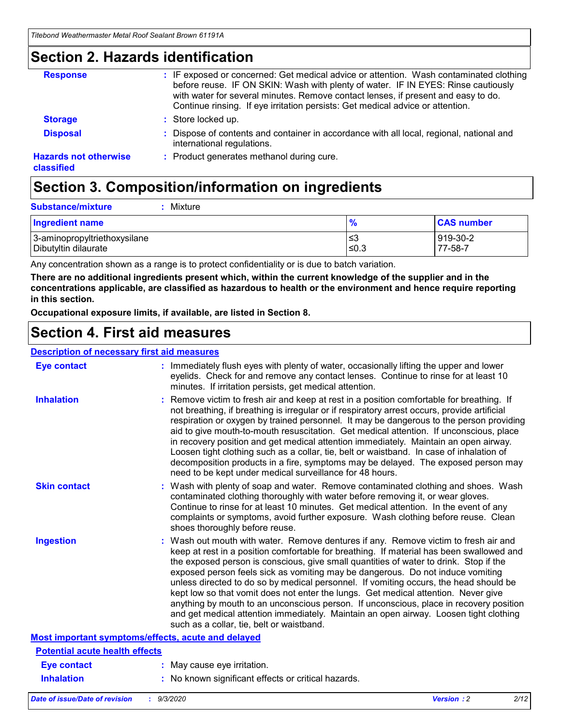### **Section 2. Hazards identification**

| <b>Response</b>                            | : IF exposed or concerned: Get medical advice or attention. Wash contaminated clothing<br>before reuse. IF ON SKIN: Wash with plenty of water. IF IN EYES: Rinse cautiously<br>with water for several minutes. Remove contact lenses, if present and easy to do.<br>Continue rinsing. If eye irritation persists: Get medical advice or attention. |
|--------------------------------------------|----------------------------------------------------------------------------------------------------------------------------------------------------------------------------------------------------------------------------------------------------------------------------------------------------------------------------------------------------|
| <b>Storage</b>                             | : Store locked up.                                                                                                                                                                                                                                                                                                                                 |
| <b>Disposal</b>                            | : Dispose of contents and container in accordance with all local, regional, national and<br>international regulations.                                                                                                                                                                                                                             |
| <b>Hazards not otherwise</b><br>classified | : Product generates methanol during cure.                                                                                                                                                                                                                                                                                                          |

# **Section 3. Composition/information on ingredients**

| <b>Substance/mixture</b> | Mixture |
|--------------------------|---------|
|                          |         |

| <b>Ingredient name</b>       | $\frac{9}{6}$ | <b>CAS number</b> |
|------------------------------|---------------|-------------------|
| 3-aminopropyltriethoxysilane | ≤3            | 919-30-2          |
| Dibutyltin dilaurate         | ∣≤0.3         | 77-58-7           |

Any concentration shown as a range is to protect confidentiality or is due to batch variation.

**There are no additional ingredients present which, within the current knowledge of the supplier and in the concentrations applicable, are classified as hazardous to health or the environment and hence require reporting in this section.**

**Occupational exposure limits, if available, are listed in Section 8.**

### **Section 4. First aid measures**

| <b>Description of necessary first aid measures</b> |                                                                                                                                                                                                                                                                                                                                                                                                                                                                                                                                                                                                                                                                                                                                                                           |
|----------------------------------------------------|---------------------------------------------------------------------------------------------------------------------------------------------------------------------------------------------------------------------------------------------------------------------------------------------------------------------------------------------------------------------------------------------------------------------------------------------------------------------------------------------------------------------------------------------------------------------------------------------------------------------------------------------------------------------------------------------------------------------------------------------------------------------------|
| <b>Eye contact</b>                                 | : Immediately flush eyes with plenty of water, occasionally lifting the upper and lower<br>eyelids. Check for and remove any contact lenses. Continue to rinse for at least 10<br>minutes. If irritation persists, get medical attention.                                                                                                                                                                                                                                                                                                                                                                                                                                                                                                                                 |
| <b>Inhalation</b>                                  | : Remove victim to fresh air and keep at rest in a position comfortable for breathing. If<br>not breathing, if breathing is irregular or if respiratory arrest occurs, provide artificial<br>respiration or oxygen by trained personnel. It may be dangerous to the person providing<br>aid to give mouth-to-mouth resuscitation. Get medical attention. If unconscious, place<br>in recovery position and get medical attention immediately. Maintain an open airway.<br>Loosen tight clothing such as a collar, tie, belt or waistband. In case of inhalation of<br>decomposition products in a fire, symptoms may be delayed. The exposed person may<br>need to be kept under medical surveillance for 48 hours.                                                       |
| <b>Skin contact</b>                                | : Wash with plenty of soap and water. Remove contaminated clothing and shoes. Wash<br>contaminated clothing thoroughly with water before removing it, or wear gloves.<br>Continue to rinse for at least 10 minutes. Get medical attention. In the event of any<br>complaints or symptoms, avoid further exposure. Wash clothing before reuse. Clean<br>shoes thoroughly before reuse.                                                                                                                                                                                                                                                                                                                                                                                     |
| <b>Ingestion</b>                                   | : Wash out mouth with water. Remove dentures if any. Remove victim to fresh air and<br>keep at rest in a position comfortable for breathing. If material has been swallowed and<br>the exposed person is conscious, give small quantities of water to drink. Stop if the<br>exposed person feels sick as vomiting may be dangerous. Do not induce vomiting<br>unless directed to do so by medical personnel. If vomiting occurs, the head should be<br>kept low so that vomit does not enter the lungs. Get medical attention. Never give<br>anything by mouth to an unconscious person. If unconscious, place in recovery position<br>and get medical attention immediately. Maintain an open airway. Loosen tight clothing<br>such as a collar, tie, belt or waistband. |
| Most important symptoms/effects, acute and delayed |                                                                                                                                                                                                                                                                                                                                                                                                                                                                                                                                                                                                                                                                                                                                                                           |
| <b>Potential acute health effects</b>              |                                                                                                                                                                                                                                                                                                                                                                                                                                                                                                                                                                                                                                                                                                                                                                           |
| Eye contact                                        | : May cause eye irritation.                                                                                                                                                                                                                                                                                                                                                                                                                                                                                                                                                                                                                                                                                                                                               |
| <b>Inhalation</b>                                  | : No known significant effects or critical hazards.                                                                                                                                                                                                                                                                                                                                                                                                                                                                                                                                                                                                                                                                                                                       |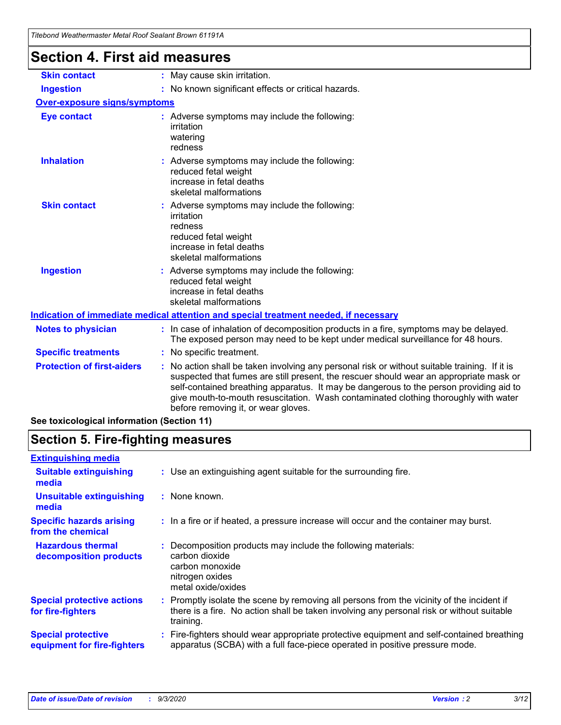| Titebond Weathermaster Metal Roof Sealant Brown 61191A |                                                                                                                                                                                                                                                                                                                                                                                                                 |
|--------------------------------------------------------|-----------------------------------------------------------------------------------------------------------------------------------------------------------------------------------------------------------------------------------------------------------------------------------------------------------------------------------------------------------------------------------------------------------------|
| <b>Section 4. First aid measures</b>                   |                                                                                                                                                                                                                                                                                                                                                                                                                 |
| <b>Skin contact</b>                                    | : May cause skin irritation.                                                                                                                                                                                                                                                                                                                                                                                    |
| <b>Ingestion</b>                                       | : No known significant effects or critical hazards.                                                                                                                                                                                                                                                                                                                                                             |
| <b>Over-exposure signs/symptoms</b>                    |                                                                                                                                                                                                                                                                                                                                                                                                                 |
| <b>Eye contact</b>                                     | : Adverse symptoms may include the following:<br>irritation<br>watering<br>redness                                                                                                                                                                                                                                                                                                                              |
| <b>Inhalation</b>                                      | : Adverse symptoms may include the following:<br>reduced fetal weight<br>increase in fetal deaths<br>skeletal malformations                                                                                                                                                                                                                                                                                     |
| <b>Skin contact</b>                                    | : Adverse symptoms may include the following:<br>irritation<br>redness<br>reduced fetal weight<br>increase in fetal deaths<br>skeletal malformations                                                                                                                                                                                                                                                            |
| <b>Ingestion</b>                                       | Adverse symptoms may include the following:<br>reduced fetal weight<br>increase in fetal deaths<br>skeletal malformations                                                                                                                                                                                                                                                                                       |
|                                                        | Indication of immediate medical attention and special treatment needed, if necessary                                                                                                                                                                                                                                                                                                                            |
| <b>Notes to physician</b>                              | : In case of inhalation of decomposition products in a fire, symptoms may be delayed.<br>The exposed person may need to be kept under medical surveillance for 48 hours.                                                                                                                                                                                                                                        |
| <b>Specific treatments</b>                             | : No specific treatment.                                                                                                                                                                                                                                                                                                                                                                                        |
| <b>Protection of first-aiders</b>                      | : No action shall be taken involving any personal risk or without suitable training. If it is<br>suspected that fumes are still present, the rescuer should wear an appropriate mask or<br>self-contained breathing apparatus. It may be dangerous to the person providing aid to<br>give mouth-to-mouth resuscitation. Wash contaminated clothing thoroughly with water<br>before removing it, or wear gloves. |
| See toxicological information (Section 11)             |                                                                                                                                                                                                                                                                                                                                                                                                                 |

# **Section 5. Fire-fighting measures**

| <b>Extinguishing media</b>                               |                                                                                                                                                                                                     |
|----------------------------------------------------------|-----------------------------------------------------------------------------------------------------------------------------------------------------------------------------------------------------|
| <b>Suitable extinguishing</b><br>media                   | : Use an extinguishing agent suitable for the surrounding fire.                                                                                                                                     |
| <b>Unsuitable extinguishing</b><br>media                 | : None known.                                                                                                                                                                                       |
| <b>Specific hazards arising</b><br>from the chemical     | : In a fire or if heated, a pressure increase will occur and the container may burst.                                                                                                               |
| <b>Hazardous thermal</b><br>decomposition products       | : Decomposition products may include the following materials:<br>carbon dioxide<br>carbon monoxide<br>nitrogen oxides<br>metal oxide/oxides                                                         |
| <b>Special protective actions</b><br>for fire-fighters   | : Promptly isolate the scene by removing all persons from the vicinity of the incident if<br>there is a fire. No action shall be taken involving any personal risk or without suitable<br>training. |
| <b>Special protective</b><br>equipment for fire-fighters | : Fire-fighters should wear appropriate protective equipment and self-contained breathing<br>apparatus (SCBA) with a full face-piece operated in positive pressure mode.                            |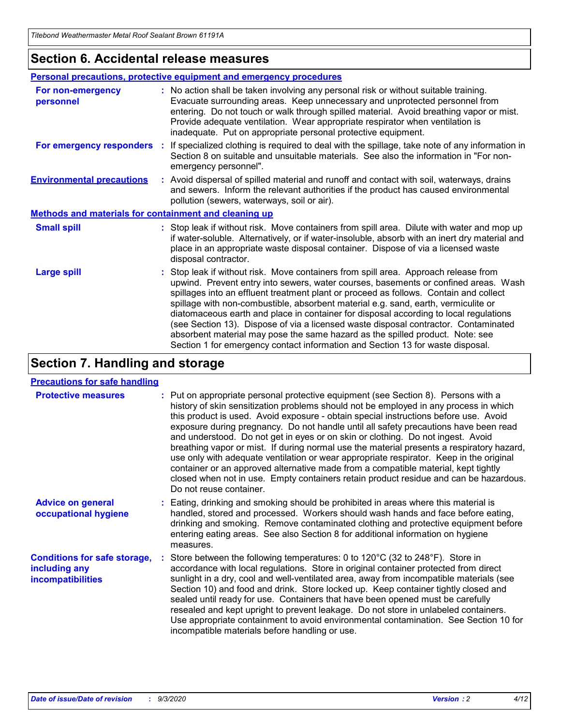### **Section 6. Accidental release measures**

|                                                              | <b>Personal precautions, protective equipment and emergency procedures</b>                                                                                                                                                                                                                                                                                                                                                                                                                                                                                                                                                                                                                                   |  |  |  |  |
|--------------------------------------------------------------|--------------------------------------------------------------------------------------------------------------------------------------------------------------------------------------------------------------------------------------------------------------------------------------------------------------------------------------------------------------------------------------------------------------------------------------------------------------------------------------------------------------------------------------------------------------------------------------------------------------------------------------------------------------------------------------------------------------|--|--|--|--|
| For non-emergency<br>personnel                               | : No action shall be taken involving any personal risk or without suitable training.<br>Evacuate surrounding areas. Keep unnecessary and unprotected personnel from<br>entering. Do not touch or walk through spilled material. Avoid breathing vapor or mist.<br>Provide adequate ventilation. Wear appropriate respirator when ventilation is<br>inadequate. Put on appropriate personal protective equipment.                                                                                                                                                                                                                                                                                             |  |  |  |  |
| For emergency responders                                     | : If specialized clothing is required to deal with the spillage, take note of any information in<br>Section 8 on suitable and unsuitable materials. See also the information in "For non-<br>emergency personnel".                                                                                                                                                                                                                                                                                                                                                                                                                                                                                           |  |  |  |  |
| <b>Environmental precautions</b>                             | : Avoid dispersal of spilled material and runoff and contact with soil, waterways, drains<br>and sewers. Inform the relevant authorities if the product has caused environmental<br>pollution (sewers, waterways, soil or air).                                                                                                                                                                                                                                                                                                                                                                                                                                                                              |  |  |  |  |
| <b>Methods and materials for containment and cleaning up</b> |                                                                                                                                                                                                                                                                                                                                                                                                                                                                                                                                                                                                                                                                                                              |  |  |  |  |
| <b>Small spill</b>                                           | : Stop leak if without risk. Move containers from spill area. Dilute with water and mop up<br>if water-soluble. Alternatively, or if water-insoluble, absorb with an inert dry material and<br>place in an appropriate waste disposal container. Dispose of via a licensed waste<br>disposal contractor.                                                                                                                                                                                                                                                                                                                                                                                                     |  |  |  |  |
| <b>Large spill</b>                                           | : Stop leak if without risk. Move containers from spill area. Approach release from<br>upwind. Prevent entry into sewers, water courses, basements or confined areas. Wash<br>spillages into an effluent treatment plant or proceed as follows. Contain and collect<br>spillage with non-combustible, absorbent material e.g. sand, earth, vermiculite or<br>diatomaceous earth and place in container for disposal according to local regulations<br>(see Section 13). Dispose of via a licensed waste disposal contractor. Contaminated<br>absorbent material may pose the same hazard as the spilled product. Note: see<br>Section 1 for emergency contact information and Section 13 for waste disposal. |  |  |  |  |

### **Section 7. Handling and storage**

#### **Precautions for safe handling**

| <b>Protective measures</b>                                                       | : Put on appropriate personal protective equipment (see Section 8). Persons with a<br>history of skin sensitization problems should not be employed in any process in which<br>this product is used. Avoid exposure - obtain special instructions before use. Avoid<br>exposure during pregnancy. Do not handle until all safety precautions have been read<br>and understood. Do not get in eyes or on skin or clothing. Do not ingest. Avoid<br>breathing vapor or mist. If during normal use the material presents a respiratory hazard,<br>use only with adequate ventilation or wear appropriate respirator. Keep in the original<br>container or an approved alternative made from a compatible material, kept tightly<br>closed when not in use. Empty containers retain product residue and can be hazardous.<br>Do not reuse container. |
|----------------------------------------------------------------------------------|--------------------------------------------------------------------------------------------------------------------------------------------------------------------------------------------------------------------------------------------------------------------------------------------------------------------------------------------------------------------------------------------------------------------------------------------------------------------------------------------------------------------------------------------------------------------------------------------------------------------------------------------------------------------------------------------------------------------------------------------------------------------------------------------------------------------------------------------------|
| <b>Advice on general</b><br>occupational hygiene                                 | : Eating, drinking and smoking should be prohibited in areas where this material is<br>handled, stored and processed. Workers should wash hands and face before eating,<br>drinking and smoking. Remove contaminated clothing and protective equipment before<br>entering eating areas. See also Section 8 for additional information on hygiene<br>measures.                                                                                                                                                                                                                                                                                                                                                                                                                                                                                    |
| <b>Conditions for safe storage,</b><br>including any<br><i>incompatibilities</i> | Store between the following temperatures: 0 to 120°C (32 to 248°F). Store in<br>accordance with local regulations. Store in original container protected from direct<br>sunlight in a dry, cool and well-ventilated area, away from incompatible materials (see<br>Section 10) and food and drink. Store locked up. Keep container tightly closed and<br>sealed until ready for use. Containers that have been opened must be carefully<br>resealed and kept upright to prevent leakage. Do not store in unlabeled containers.<br>Use appropriate containment to avoid environmental contamination. See Section 10 for<br>incompatible materials before handling or use.                                                                                                                                                                         |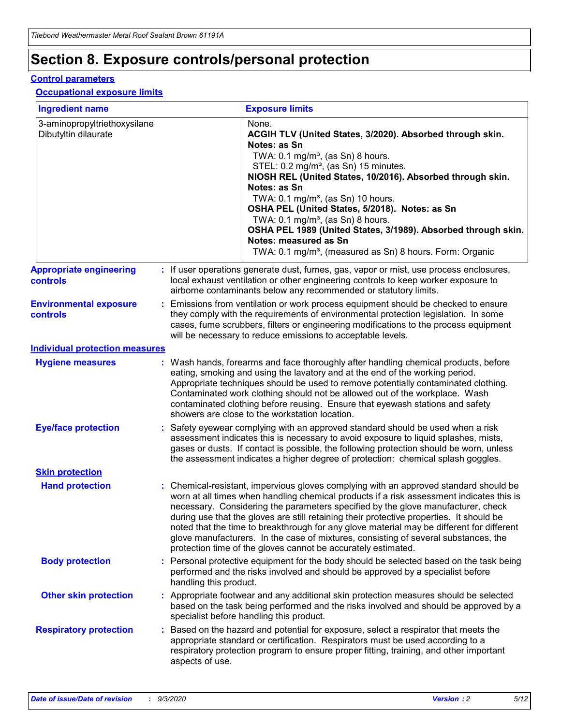# **Section 8. Exposure controls/personal protection**

#### **Control parameters**

#### **Occupational exposure limits**

| <b>Ingredient name</b>                               |    |                        | <b>Exposure limits</b>                                                                                                                                                                                                                                                                                                                                                                                                                                                                                                                                                                                                 |
|------------------------------------------------------|----|------------------------|------------------------------------------------------------------------------------------------------------------------------------------------------------------------------------------------------------------------------------------------------------------------------------------------------------------------------------------------------------------------------------------------------------------------------------------------------------------------------------------------------------------------------------------------------------------------------------------------------------------------|
| 3-aminopropyltriethoxysilane<br>Dibutyltin dilaurate |    |                        | None.<br>ACGIH TLV (United States, 3/2020). Absorbed through skin.<br>Notes: as Sn<br>TWA: $0.1 \text{ mg/m}^3$ , (as Sn) 8 hours.<br>STEL: 0.2 mg/m <sup>3</sup> , (as Sn) 15 minutes.<br>NIOSH REL (United States, 10/2016). Absorbed through skin.<br>Notes: as Sn<br>TWA: 0.1 mg/m <sup>3</sup> , (as Sn) 10 hours.<br>OSHA PEL (United States, 5/2018). Notes: as Sn<br>TWA: $0.1 \text{ mg/m}^3$ , (as Sn) 8 hours.<br>OSHA PEL 1989 (United States, 3/1989). Absorbed through skin.<br>Notes: measured as Sn<br>TWA: 0.1 mg/m <sup>3</sup> , (measured as Sn) 8 hours. Form: Organic                            |
| <b>Appropriate engineering</b><br>controls           |    |                        | : If user operations generate dust, fumes, gas, vapor or mist, use process enclosures,<br>local exhaust ventilation or other engineering controls to keep worker exposure to<br>airborne contaminants below any recommended or statutory limits.                                                                                                                                                                                                                                                                                                                                                                       |
| <b>Environmental exposure</b><br>controls            |    |                        | Emissions from ventilation or work process equipment should be checked to ensure<br>they comply with the requirements of environmental protection legislation. In some<br>cases, fume scrubbers, filters or engineering modifications to the process equipment<br>will be necessary to reduce emissions to acceptable levels.                                                                                                                                                                                                                                                                                          |
| <b>Individual protection measures</b>                |    |                        |                                                                                                                                                                                                                                                                                                                                                                                                                                                                                                                                                                                                                        |
| <b>Hygiene measures</b>                              |    |                        | : Wash hands, forearms and face thoroughly after handling chemical products, before<br>eating, smoking and using the lavatory and at the end of the working period.<br>Appropriate techniques should be used to remove potentially contaminated clothing.<br>Contaminated work clothing should not be allowed out of the workplace. Wash<br>contaminated clothing before reusing. Ensure that eyewash stations and safety<br>showers are close to the workstation location.                                                                                                                                            |
| <b>Eye/face protection</b>                           |    |                        | : Safety eyewear complying with an approved standard should be used when a risk<br>assessment indicates this is necessary to avoid exposure to liquid splashes, mists,<br>gases or dusts. If contact is possible, the following protection should be worn, unless<br>the assessment indicates a higher degree of protection: chemical splash goggles.                                                                                                                                                                                                                                                                  |
| <b>Skin protection</b>                               |    |                        |                                                                                                                                                                                                                                                                                                                                                                                                                                                                                                                                                                                                                        |
| <b>Hand protection</b>                               |    |                        | : Chemical-resistant, impervious gloves complying with an approved standard should be<br>worn at all times when handling chemical products if a risk assessment indicates this is<br>necessary. Considering the parameters specified by the glove manufacturer, check<br>during use that the gloves are still retaining their protective properties. It should be<br>noted that the time to breakthrough for any glove material may be different for different<br>glove manufacturers. In the case of mixtures, consisting of several substances, the<br>protection time of the gloves cannot be accurately estimated. |
| <b>Body protection</b>                               |    | handling this product. | Personal protective equipment for the body should be selected based on the task being<br>performed and the risks involved and should be approved by a specialist before                                                                                                                                                                                                                                                                                                                                                                                                                                                |
| <b>Other skin protection</b>                         |    |                        | : Appropriate footwear and any additional skin protection measures should be selected<br>based on the task being performed and the risks involved and should be approved by a<br>specialist before handling this product.                                                                                                                                                                                                                                                                                                                                                                                              |
| <b>Respiratory protection</b>                        | ÷. | aspects of use.        | Based on the hazard and potential for exposure, select a respirator that meets the<br>appropriate standard or certification. Respirators must be used according to a<br>respiratory protection program to ensure proper fitting, training, and other important                                                                                                                                                                                                                                                                                                                                                         |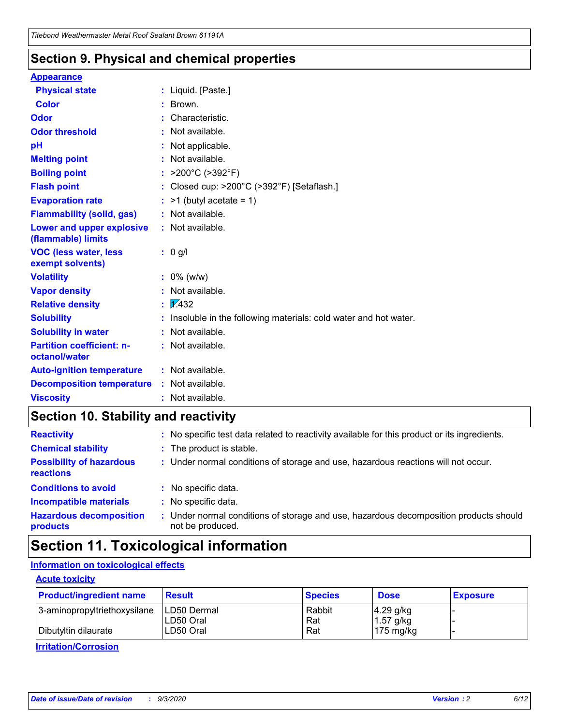### **Section 9. Physical and chemical properties**

#### **Appearance**

| <b>Physical state</b>                             |    | : Liquid. [Paste.]                                              |
|---------------------------------------------------|----|-----------------------------------------------------------------|
| <b>Color</b>                                      |    | Brown.                                                          |
| Odor                                              |    | Characteristic.                                                 |
| <b>Odor threshold</b>                             |    | Not available.                                                  |
| рH                                                |    | Not applicable.                                                 |
| <b>Melting point</b>                              |    | Not available.                                                  |
| <b>Boiling point</b>                              |    | : $>200^{\circ}$ C ( $>392^{\circ}$ F)                          |
| <b>Flash point</b>                                |    | Closed cup: >200°C (>392°F) [Setaflash.]                        |
| <b>Evaporation rate</b>                           |    | $:$ >1 (butyl acetate = 1)                                      |
| <b>Flammability (solid, gas)</b>                  |    | : Not available.                                                |
| Lower and upper explosive<br>(flammable) limits   |    | : Not available.                                                |
| <b>VOC (less water, less</b><br>exempt solvents)  |    | : 0 g/l                                                         |
| <b>Volatility</b>                                 |    | $: 0\%$ (w/w)                                                   |
| <b>Vapor density</b>                              |    | Not available.                                                  |
| <b>Relative density</b>                           | ÷. | $\sqrt{1/432}$                                                  |
| <b>Solubility</b>                                 |    | Insoluble in the following materials: cold water and hot water. |
| <b>Solubility in water</b>                        |    | Not available.                                                  |
| <b>Partition coefficient: n-</b><br>octanol/water |    | : Not available.                                                |
| <b>Auto-ignition temperature</b>                  |    | $:$ Not available.                                              |
| <b>Decomposition temperature</b>                  |    | : Not available.                                                |
| <b>Viscosity</b>                                  |    | $:$ Not available.                                              |

### **Section 10. Stability and reactivity**

| <b>Reactivity</b>                            |    | : No specific test data related to reactivity available for this product or its ingredients.            |
|----------------------------------------------|----|---------------------------------------------------------------------------------------------------------|
| <b>Chemical stability</b>                    |    | : The product is stable.                                                                                |
| <b>Possibility of hazardous</b><br>reactions |    | : Under normal conditions of storage and use, hazardous reactions will not occur.                       |
| <b>Conditions to avoid</b>                   |    | : No specific data.                                                                                     |
| <b>Incompatible materials</b>                | ٠. | No specific data.                                                                                       |
| <b>Hazardous decomposition</b><br>products   | ÷. | Under normal conditions of storage and use, hazardous decomposition products should<br>not be produced. |

# **Section 11. Toxicological information**

#### **Information on toxicological effects**

#### **Acute toxicity**

| <b>Product/ingredient name</b> | <b>Result</b>           | <b>Species</b> | <b>Dose</b>                | <b>Exposure</b> |
|--------------------------------|-------------------------|----------------|----------------------------|-----------------|
| 3-aminopropyltriethoxysilane   | <b>ILD50 Dermal</b>     | Rabbit         | 4.29 g/kg                  |                 |
| Dibutyltin dilaurate           | ILD50 Oral<br>LD50 Oral | Rat<br>Rat     | $1.57$ g/kg<br>175 $mg/kg$ |                 |
|                                |                         |                |                            |                 |

**Irritation/Corrosion**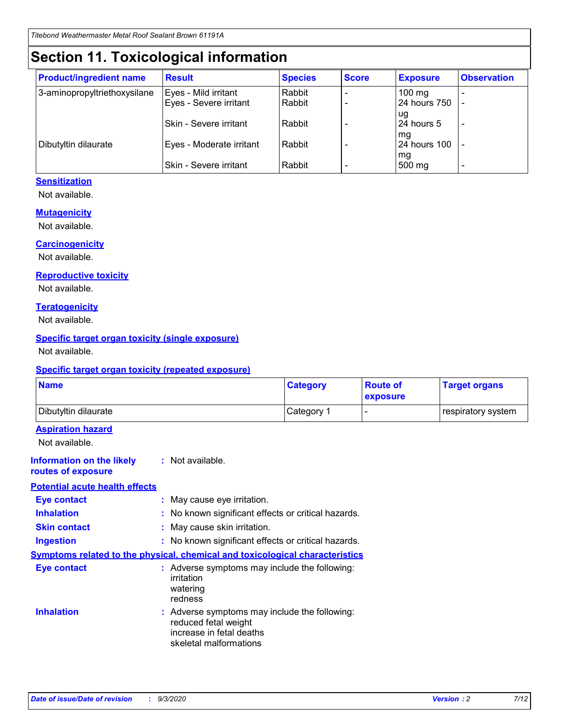# **Section 11. Toxicological information**

| <b>Product/ingredient name</b> | <b>Result</b>            | <b>Species</b> | <b>Score</b> | <b>Exposure</b>    | <b>Observation</b> |
|--------------------------------|--------------------------|----------------|--------------|--------------------|--------------------|
| 3-aminopropyltriethoxysilane   | Eyes - Mild irritant     | Rabbit         |              | $100 \text{ mg}$   |                    |
|                                | Eyes - Severe irritant   | Rabbit         |              | 24 hours 750       |                    |
|                                |                          |                |              | ug                 |                    |
|                                | Skin - Severe irritant   | Rabbit         |              | 24 hours 5         | -                  |
| Dibutyltin dilaurate           | Eyes - Moderate irritant | Rabbit         |              | mg<br>24 hours 100 |                    |
|                                |                          |                |              | mg                 |                    |
|                                | Skin - Severe irritant   | Rabbit         |              | 500 mg             | -                  |

#### **Sensitization**

Not available.

#### **Mutagenicity**

Not available.

#### **Carcinogenicity**

Not available.

#### **Reproductive toxicity**

Not available.

#### **Teratogenicity**

Not available.

#### **Specific target organ toxicity (single exposure)**

Not available.

#### **Specific target organ toxicity (repeated exposure)**

| <b>Name</b>                                                                  |                                                                                                                             | <b>Category</b>                                     | <b>Route of</b><br>exposure | <b>Target organs</b> |  |  |
|------------------------------------------------------------------------------|-----------------------------------------------------------------------------------------------------------------------------|-----------------------------------------------------|-----------------------------|----------------------|--|--|
| Dibutyltin dilaurate                                                         |                                                                                                                             | Category 1                                          |                             | respiratory system   |  |  |
| <b>Aspiration hazard</b><br>Not available.                                   |                                                                                                                             |                                                     |                             |                      |  |  |
| <b>Information on the likely</b><br>routes of exposure                       | : Not available.                                                                                                            |                                                     |                             |                      |  |  |
| <b>Potential acute health effects</b>                                        |                                                                                                                             |                                                     |                             |                      |  |  |
| <b>Eye contact</b>                                                           | : May cause eye irritation.                                                                                                 |                                                     |                             |                      |  |  |
| <b>Inhalation</b>                                                            |                                                                                                                             | : No known significant effects or critical hazards. |                             |                      |  |  |
| <b>Skin contact</b>                                                          |                                                                                                                             | : May cause skin irritation.                        |                             |                      |  |  |
| <b>Ingestion</b>                                                             |                                                                                                                             | : No known significant effects or critical hazards. |                             |                      |  |  |
| Symptoms related to the physical, chemical and toxicological characteristics |                                                                                                                             |                                                     |                             |                      |  |  |
| <b>Eye contact</b>                                                           | : Adverse symptoms may include the following:<br>irritation<br>watering<br>redness                                          |                                                     |                             |                      |  |  |
| <b>Inhalation</b>                                                            | : Adverse symptoms may include the following:<br>reduced fetal weight<br>increase in fetal deaths<br>skeletal malformations |                                                     |                             |                      |  |  |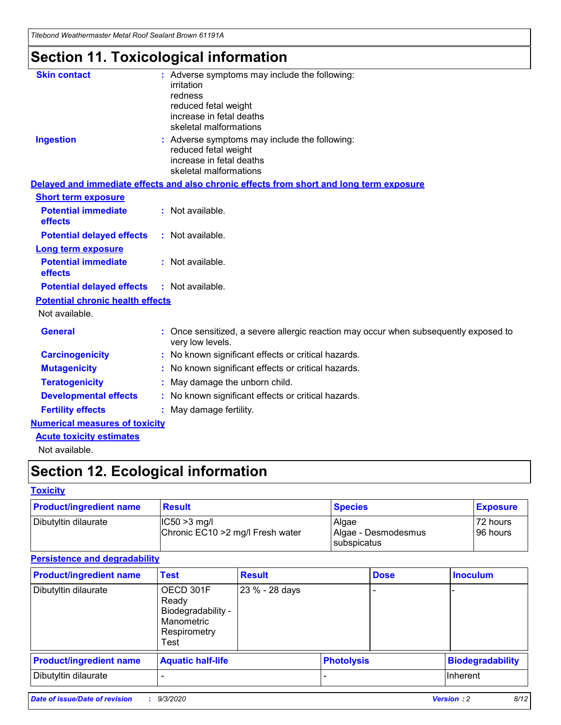*Titebond Weathermaster Metal Roof Sealant Brown 61191A*

# **Section 11. Toxicological information**

| <b>Skin contact</b>                     | : Adverse symptoms may include the following:<br>irritation                                            |
|-----------------------------------------|--------------------------------------------------------------------------------------------------------|
|                                         | redness                                                                                                |
|                                         | reduced fetal weight                                                                                   |
|                                         | increase in fetal deaths                                                                               |
|                                         | skeletal malformations                                                                                 |
| <b>Ingestion</b>                        | : Adverse symptoms may include the following:<br>reduced fetal weight                                  |
|                                         | increase in fetal deaths                                                                               |
|                                         | skeletal malformations                                                                                 |
|                                         | Delayed and immediate effects and also chronic effects from short and long term exposure               |
| <b>Short term exposure</b>              |                                                                                                        |
| <b>Potential immediate</b><br>effects   | : Not available.                                                                                       |
| <b>Potential delayed effects</b>        | : Not available.                                                                                       |
| Long term exposure                      |                                                                                                        |
| <b>Potential immediate</b><br>effects   | : Not available.                                                                                       |
| <b>Potential delayed effects</b>        | : Not available.                                                                                       |
| <b>Potential chronic health effects</b> |                                                                                                        |
| Not available.                          |                                                                                                        |
| <b>General</b>                          | Once sensitized, a severe allergic reaction may occur when subsequently exposed to<br>very low levels. |
| <b>Carcinogenicity</b>                  | No known significant effects or critical hazards.                                                      |
| <b>Mutagenicity</b>                     | : No known significant effects or critical hazards.                                                    |
| <b>Teratogenicity</b>                   | May damage the unborn child.                                                                           |
| <b>Developmental effects</b>            | : No known significant effects or critical hazards.                                                    |
| <b>Fertility effects</b>                | : May damage fertility.                                                                                |
| <b>Numerical measures of toxicity</b>   |                                                                                                        |
| <b>Acute toxicity estimates</b>         |                                                                                                        |
| Not ovoilable                           |                                                                                                        |

Not available.

# **Section 12. Ecological information**

#### **Toxicity**

| <b>Product/ingredient name</b> | <b>Result</b>                                       | <b>Species</b>               | <b>Exposure</b>       |
|--------------------------------|-----------------------------------------------------|------------------------------|-----------------------|
| Dibutyltin dilaurate           | $ CC50>3$ mg/l<br>Chronic EC10 > 2 mg/l Fresh water | Algae<br>Algae - Desmodesmus | 72 hours<br>196 hours |
|                                |                                                     | <b>I</b> subspicatus         |                       |

#### **Persistence and degradability**

| <b>Product/ingredient name</b> | <b>Test</b>                                                                    | <b>Result</b>  |                   | <b>Dose</b> | <b>Inoculum</b>         |
|--------------------------------|--------------------------------------------------------------------------------|----------------|-------------------|-------------|-------------------------|
| Dibutyltin dilaurate           | OECD 301F<br>Ready<br>Biodegradability -<br>Manometric<br>Respirometry<br>Test | 23 % - 28 days |                   |             |                         |
| <b>Product/ingredient name</b> | <b>Aquatic half-life</b>                                                       |                | <b>Photolysis</b> |             | <b>Biodegradability</b> |
| Dibutyltin dilaurate           |                                                                                |                |                   |             | <b>Inherent</b>         |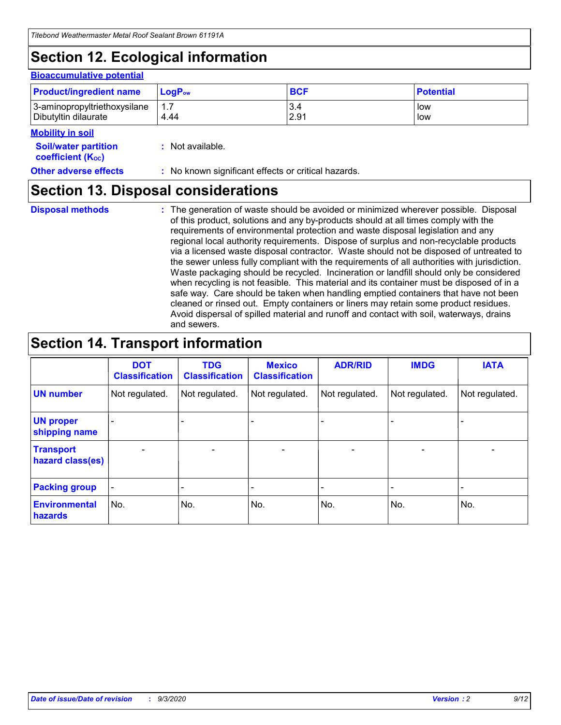# **Section 12. Ecological information**

#### **Bioaccumulative potential**

| <b>Product/ingredient name</b> | $LogPow$ | <b>BCF</b> | <b>Potential</b> |
|--------------------------------|----------|------------|------------------|
| 3-aminopropyltriethoxysilane   | 1.7      | 3.4        | low              |
| Dibutyltin dilaurate           | 4.44     | 2.91       | low              |

#### **Mobility in soil**

| INVMIILV III JVII                                       |                                                     |
|---------------------------------------------------------|-----------------------------------------------------|
| <b>Soil/water partition</b><br><b>coefficient (Koc)</b> | : Not available.                                    |
| <b>Other adverse effects</b>                            | : No known significant effects or critical hazards. |

### **Section 13. Disposal considerations**

**Disposal methods :**

The generation of waste should be avoided or minimized wherever possible. Disposal of this product, solutions and any by-products should at all times comply with the requirements of environmental protection and waste disposal legislation and any regional local authority requirements. Dispose of surplus and non-recyclable products via a licensed waste disposal contractor. Waste should not be disposed of untreated to the sewer unless fully compliant with the requirements of all authorities with jurisdiction. Waste packaging should be recycled. Incineration or landfill should only be considered when recycling is not feasible. This material and its container must be disposed of in a safe way. Care should be taken when handling emptied containers that have not been cleaned or rinsed out. Empty containers or liners may retain some product residues. Avoid dispersal of spilled material and runoff and contact with soil, waterways, drains and sewers.

### **Section 14. Transport information**

|                                      | <b>DOT</b><br><b>Classification</b> | <b>TDG</b><br><b>Classification</b> | <b>Mexico</b><br><b>Classification</b> | <b>ADR/RID</b> | <b>IMDG</b>              | <b>IATA</b>    |
|--------------------------------------|-------------------------------------|-------------------------------------|----------------------------------------|----------------|--------------------------|----------------|
| <b>UN number</b>                     | Not regulated.                      | Not regulated.                      | Not regulated.                         | Not regulated. | Not regulated.           | Not regulated. |
| <b>UN proper</b><br>shipping name    |                                     |                                     |                                        |                |                          |                |
| <b>Transport</b><br>hazard class(es) |                                     | $\overline{\phantom{0}}$            | $\overline{\phantom{0}}$               |                | $\overline{\phantom{0}}$ |                |
| <b>Packing group</b>                 |                                     |                                     |                                        |                |                          |                |
| <b>Environmental</b><br>hazards      | No.                                 | No.                                 | No.                                    | No.            | No.                      | No.            |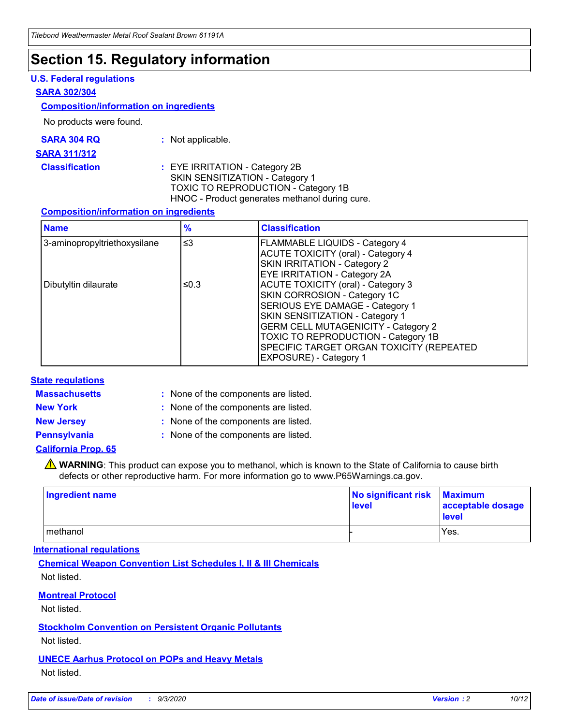### **Section 15. Regulatory information**

#### **U.S. Federal regulations**

#### **SARA 302/304**

#### **Composition/information on ingredients**

No products were found.

| SARA 304 RQ | Not applicable. |
|-------------|-----------------|
|-------------|-----------------|

#### **SARA 311/312**

**Classification :** EYE IRRITATION - Category 2B SKIN SENSITIZATION - Category 1 TOXIC TO REPRODUCTION - Category 1B HNOC - Product generates methanol during cure.

#### **Composition/information on ingredients**

| <b>Name</b>                  | $\frac{9}{6}$ | <b>Classification</b>                                                                                                                                                                                                                                                                                      |
|------------------------------|---------------|------------------------------------------------------------------------------------------------------------------------------------------------------------------------------------------------------------------------------------------------------------------------------------------------------------|
| 3-aminopropyltriethoxysilane | $\leq$ 3      | <b>FLAMMABLE LIQUIDS - Category 4</b><br><b>ACUTE TOXICITY (oral) - Category 4</b><br><b>SKIN IRRITATION - Category 2</b><br>EYE IRRITATION - Category 2A                                                                                                                                                  |
| Dibutyltin dilaurate         | ≤0.3          | <b>ACUTE TOXICITY (oral) - Category 3</b><br>SKIN CORROSION - Category 1C<br>SERIOUS EYE DAMAGE - Category 1<br>SKIN SENSITIZATION - Category 1<br><b>GERM CELL MUTAGENICITY - Category 2</b><br>TOXIC TO REPRODUCTION - Category 1B<br>SPECIFIC TARGET ORGAN TOXICITY (REPEATED<br>EXPOSURE) - Category 1 |

#### **State regulations**

**Massachusetts :**

: None of the components are listed.

**New York :** None of the components are listed. **New Jersey :** None of the components are listed.

**Pennsylvania :** None of the components are listed.

#### **California Prop. 65**

WARNING: This product can expose you to methanol, which is known to the State of California to cause birth defects or other reproductive harm. For more information go to www.P65Warnings.ca.gov.

| Ingredient name | No significant risk<br>level | <b>Maximum</b><br>acceptable dosage<br><b>level</b> |
|-----------------|------------------------------|-----------------------------------------------------|
| methanol        |                              | Yes.                                                |

#### **International regulations**

**Chemical Weapon Convention List Schedules I, II & III Chemicals** Not listed.

#### **Montreal Protocol**

Not listed.

**Stockholm Convention on Persistent Organic Pollutants**

Not listed.

#### **UNECE Aarhus Protocol on POPs and Heavy Metals** Not listed.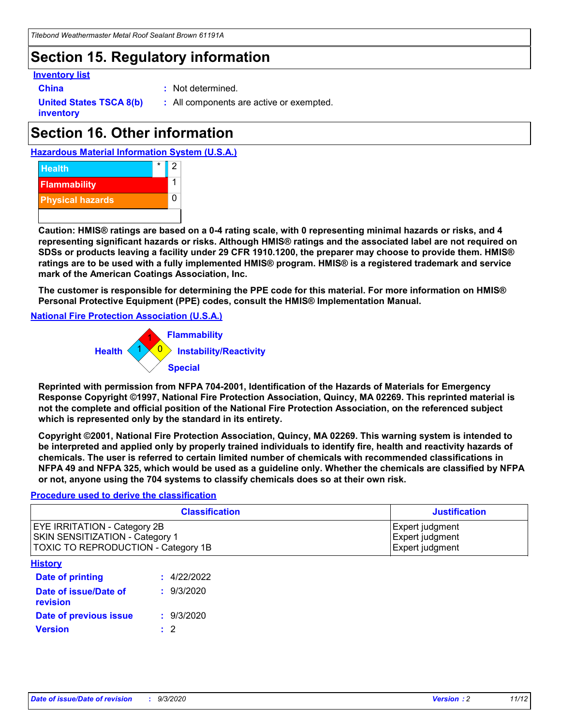# **Section 15. Regulatory information**

#### **Inventory list**

- 
- **China :** Not determined.

**United States TSCA 8(b) inventory**

**:** All components are active or exempted.

# **Section 16. Other information**

**Hazardous Material Information System (U.S.A.)**



**Caution: HMIS® ratings are based on a 0-4 rating scale, with 0 representing minimal hazards or risks, and 4 representing significant hazards or risks. Although HMIS® ratings and the associated label are not required on SDSs or products leaving a facility under 29 CFR 1910.1200, the preparer may choose to provide them. HMIS® ratings are to be used with a fully implemented HMIS® program. HMIS® is a registered trademark and service mark of the American Coatings Association, Inc.**

**The customer is responsible for determining the PPE code for this material. For more information on HMIS® Personal Protective Equipment (PPE) codes, consult the HMIS® Implementation Manual.**

**National Fire Protection Association (U.S.A.)**



**Reprinted with permission from NFPA 704-2001, Identification of the Hazards of Materials for Emergency Response Copyright ©1997, National Fire Protection Association, Quincy, MA 02269. This reprinted material is not the complete and official position of the National Fire Protection Association, on the referenced subject which is represented only by the standard in its entirety.**

**Copyright ©2001, National Fire Protection Association, Quincy, MA 02269. This warning system is intended to be interpreted and applied only by properly trained individuals to identify fire, health and reactivity hazards of chemicals. The user is referred to certain limited number of chemicals with recommended classifications in NFPA 49 and NFPA 325, which would be used as a guideline only. Whether the chemicals are classified by NFPA or not, anyone using the 704 systems to classify chemicals does so at their own risk.**

#### **Procedure used to derive the classification**

| <b>Classification</b>                                                                                         | <b>Justification</b>                                  |
|---------------------------------------------------------------------------------------------------------------|-------------------------------------------------------|
| <b>EYE IRRITATION - Category 2B</b><br>SKIN SENSITIZATION - Category 1<br>TOXIC TO REPRODUCTION - Category 1B | Expert judgment<br>Expert judgment<br>Expert judgment |
| <b>History</b>                                                                                                |                                                       |

| .                                 |             |
|-----------------------------------|-------------|
| <b>Date of printing</b>           | : 4/22/2022 |
| Date of issue/Date of<br>revision | : 9/3/2020  |
| Date of previous issue            | : 9/3/2020  |
| <b>Version</b>                    | $\cdot$ 2   |
|                                   |             |